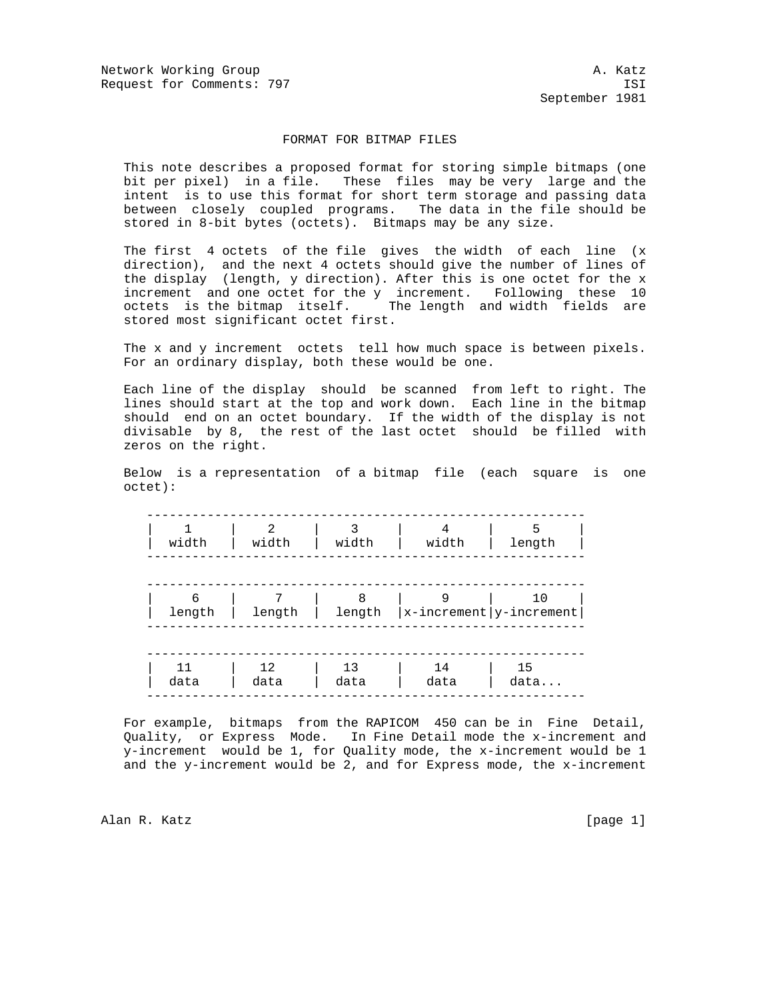Network Working Group and A. Katz Request for Comments: 797 ISI

September 1981

## FORMAT FOR BITMAP FILES

 This note describes a proposed format for storing simple bitmaps (one bit per pixel) in a file. These files may be very large and the intent is to use this format for short term storage and passing data between closely coupled programs. The data in the file should be stored in 8-bit bytes (octets). Bitmaps may be any size.

 The first 4 octets of the file gives the width of each line (x direction), and the next 4 octets should give the number of lines of the display (length, y direction). After this is one octet for the x increment and one octet for the y increment. Following these 10 octets is the bitmap itself. The length and width fields are stored most significant octet first.

 The x and y increment octets tell how much space is between pixels. For an ordinary display, both these would be one.

 Each line of the display should be scanned from left to right. The lines should start at the top and work down. Each line in the bitmap should end on an octet boundary. If the width of the display is not divisable by 8, the rest of the last octet should be filled with zeros on the right.

 Below is a representation of a bitmap file (each square is one octet):

| width       | $\mathcal{L}$<br>width | width       | 4<br>width                      | 5<br>length |
|-------------|------------------------|-------------|---------------------------------|-------------|
| 6<br>length | 7<br>length            | 8<br>length | $ x$ -increment $ y$ -increment | 10          |
| 11<br>data  | 12<br>data             | 13<br>data  | 14<br>data                      | 15<br>data  |

 For example, bitmaps from the RAPICOM 450 can be in Fine Detail, Quality, or Express Mode. In Fine Detail mode the x-increment and y-increment would be 1, for Quality mode, the x-increment would be 1 and the y-increment would be 2, and for Express mode, the  $x$ -increment

Alan R. Katz [page 1]